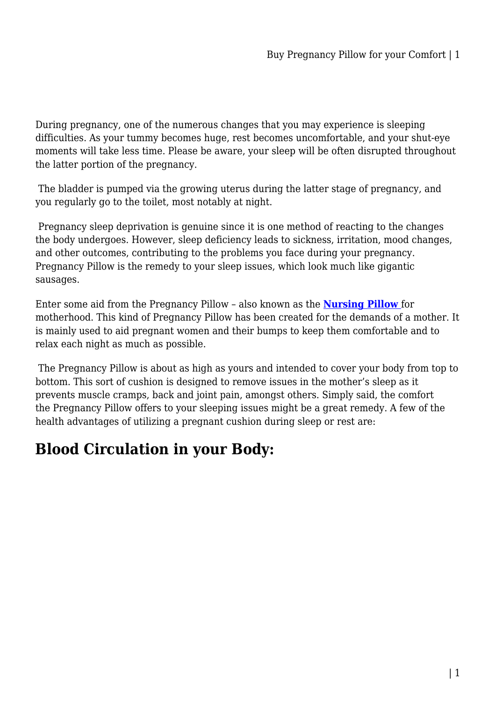During pregnancy, one of the numerous changes that you may experience is sleeping difficulties. As your tummy becomes huge, rest becomes uncomfortable, and your shut-eye moments will take less time. Please be aware, your sleep will be often disrupted throughout the latter portion of the pregnancy.

 The bladder is pumped via the growing uterus during the latter stage of pregnancy, and you regularly go to the toilet, most notably at night.

 Pregnancy sleep deprivation is genuine since it is one method of reacting to the changes the body undergoes. However, sleep deficiency leads to sickness, irritation, mood changes, and other outcomes, contributing to the problems you face during your pregnancy. Pregnancy Pillow is the remedy to your sleep issues, which look much like gigantic sausages.

Enter some aid from the Pregnancy Pillow – also known as the **[Nursing Pillow](https://mattressdiscount.com.au/maternity-pregnancy-nursing-pillow/)** for motherhood. This kind of Pregnancy Pillow has been created for the demands of a mother. It is mainly used to aid pregnant women and their bumps to keep them comfortable and to relax each night as much as possible.

 The Pregnancy Pillow is about as high as yours and intended to cover your body from top to bottom. This sort of cushion is designed to remove issues in the mother's sleep as it prevents muscle cramps, back and joint pain, amongst others. Simply said, the comfort the Pregnancy Pillow offers to your sleeping issues might be a great remedy. A few of the health advantages of utilizing a pregnant cushion during sleep or rest are:

### **Blood Circulation in your Body:**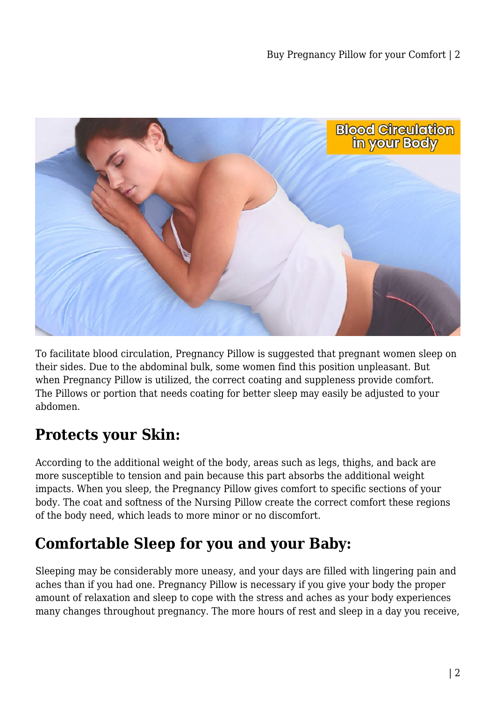

To facilitate blood circulation, Pregnancy Pillow is suggested that pregnant women sleep on their sides. Due to the abdominal bulk, some women find this position unpleasant. But when Pregnancy Pillow is utilized, the correct coating and suppleness provide comfort. The Pillows or portion that needs coating for better sleep may easily be adjusted to your abdomen.

### **Protects your Skin:**

According to the additional weight of the body, areas such as legs, thighs, and back are more susceptible to tension and pain because this part absorbs the additional weight impacts. When you sleep, the Pregnancy Pillow gives comfort to specific sections of your body. The coat and softness of the Nursing Pillow create the correct comfort these regions of the body need, which leads to more minor or no discomfort.

# **Comfortable Sleep for you and your Baby:**

Sleeping may be considerably more uneasy, and your days are filled with lingering pain and aches than if you had one. Pregnancy Pillow is necessary if you give your body the proper amount of relaxation and sleep to cope with the stress and aches as your body experiences many changes throughout pregnancy. The more hours of rest and sleep in a day you receive,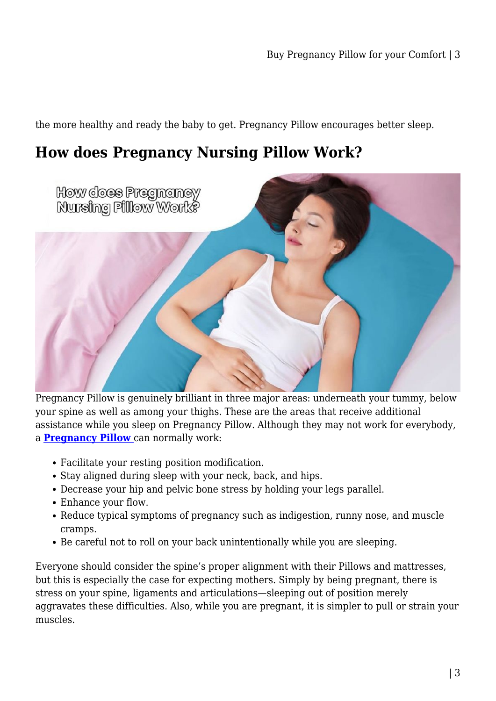the more healthy and ready the baby to get. Pregnancy Pillow encourages better sleep.

#### **How does Pregnancy Nursing Pillow Work?**



Pregnancy Pillow is genuinely brilliant in three major areas: underneath your tummy, below your spine as well as among your thighs. These are the areas that receive additional assistance while you sleep on Pregnancy Pillow. Although they may not work for everybody, a **[Pregnancy Pillow](https://mattressdiscount.com.au/maternity-pregnancy-nursing-pillow/)** can normally work:

- Facilitate your resting position modification.
- Stay aligned during sleep with your neck, back, and hips.
- Decrease your hip and pelvic bone stress by holding your legs parallel.
- Enhance your flow.
- Reduce typical symptoms of pregnancy such as indigestion, runny nose, and muscle cramps.
- Be careful not to roll on your back unintentionally while you are sleeping.

Everyone should consider the spine's proper alignment with their Pillows and mattresses, but this is especially the case for expecting mothers. Simply by being pregnant, there is stress on your spine, ligaments and articulations—sleeping out of position merely aggravates these difficulties. Also, while you are pregnant, it is simpler to pull or strain your muscles.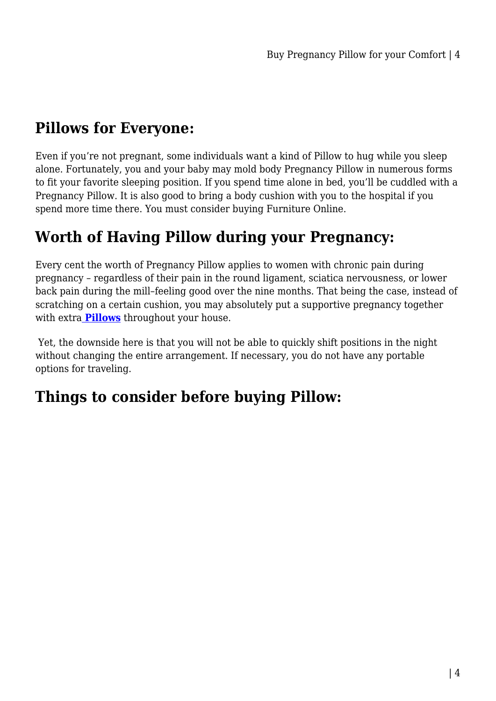# **Pillows for Everyone:**

Even if you're not pregnant, some individuals want a kind of Pillow to hug while you sleep alone. Fortunately, you and your baby may mold body Pregnancy Pillow in numerous forms to fit your favorite sleeping position. If you spend time alone in bed, you'll be cuddled with a Pregnancy Pillow. It is also good to bring a body cushion with you to the hospital if you spend more time there. You must consider buying Furniture Online.

### **Worth of Having Pillow during your Pregnancy:**

Every cent the worth of Pregnancy Pillow applies to women with chronic pain during pregnancy – regardless of their pain in the round ligament, sciatica nervousness, or lower back pain during the mill–feeling good over the nine months. That being the case, instead of scratching on a certain cushion, you may absolutely put a supportive pregnancy together with extra **[Pillows](https://mattressdiscount.com.au/pillows/)** throughout your house.

 Yet, the downside here is that you will not be able to quickly shift positions in the night without changing the entire arrangement. If necessary, you do not have any portable options for traveling.

### **Things to consider before buying Pillow:**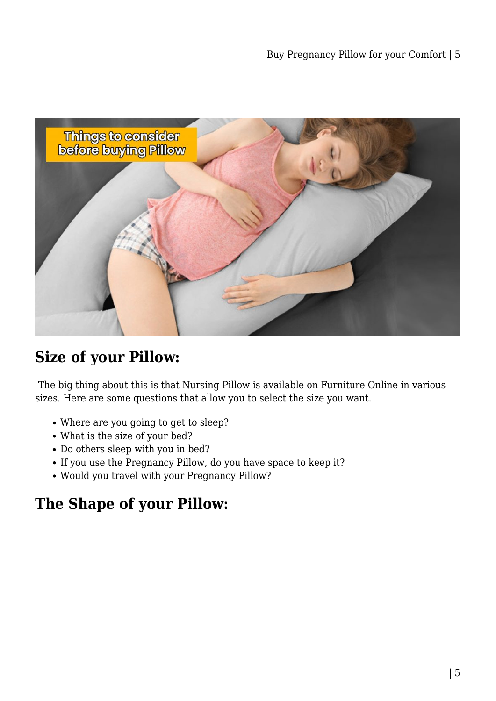

### **Size of your Pillow:**

 The big thing about this is that Nursing Pillow is available on Furniture Online in various sizes. Here are some questions that allow you to select the size you want.

- Where are you going to get to sleep?
- What is the size of your bed?
- Do others sleep with you in bed?
- If you use the Pregnancy Pillow, do you have space to keep it?
- Would you travel with your Pregnancy Pillow?

### **The Shape of your Pillow:**